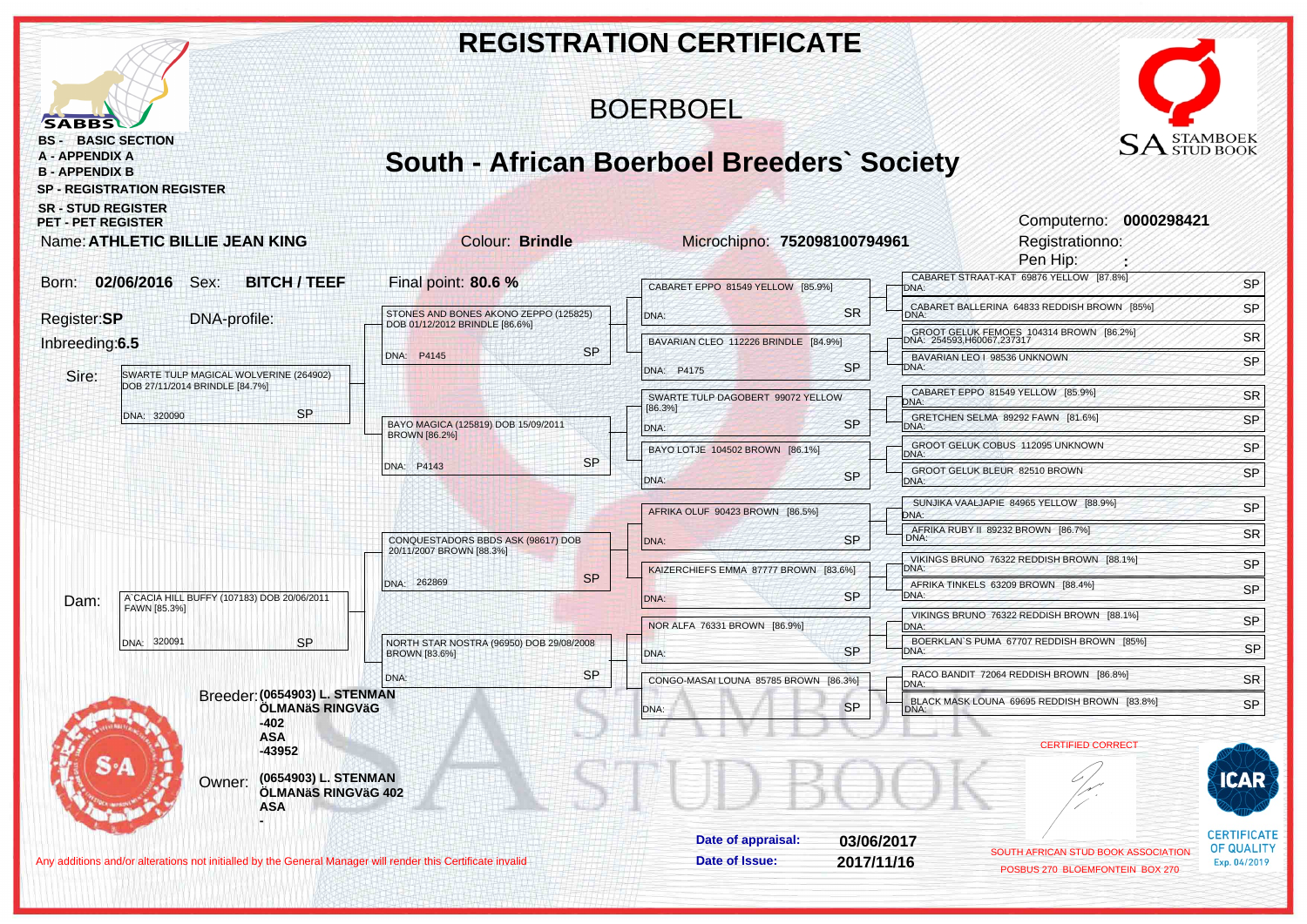|                                                                                                                                                                                                                      |                                                                               | <b>REGISTRATION CERTIFICATE</b>                                                                                                                                   |                                                              |
|----------------------------------------------------------------------------------------------------------------------------------------------------------------------------------------------------------------------|-------------------------------------------------------------------------------|-------------------------------------------------------------------------------------------------------------------------------------------------------------------|--------------------------------------------------------------|
| <b>SABBS</b>                                                                                                                                                                                                         |                                                                               | <b>BOERBOEL</b>                                                                                                                                                   |                                                              |
| <b>BS - BASIC SECTION</b><br><b>A - APPENDIX A</b><br><b>B - APPENDIX B</b><br><b>SP - REGISTRATION REGISTER</b><br><b>SR - STUD REGISTER</b><br><b>PET - PET REGISTER</b><br><b>Name: ATHLETIC BILLIE JEAN KING</b> | <b>Colour: Brindle</b>                                                        | <b>South - African Boerboel Breeders' Society</b><br>Computerno: 0000298421<br>Microchipno: 752098100794961<br>Registrationno:                                    | $\text{SA}^\text{\tiny{STAMBOEK}}_{\text{\tiny{STUD BOOK}}}$ |
| Born: 02/06/2016 Sex:<br><b>BITCH / TEEF</b>                                                                                                                                                                         | Final point: 80.6 %                                                           | Pen Hip:<br>CABARET STRAAT-KAT 69876 YELLOW [87.8%]<br>CABARET EPPO 81549 YELLOW [85.9%]<br>DNA:                                                                  | SP                                                           |
| Register:SP<br>DNA-profile:                                                                                                                                                                                          | STONES AND BONES AKONO ZEPPO (125825)<br>DOB 01/12/2012 BRINDLE [86.6%]       | CABARET BALLERINA 64833 REDDISH BROWN [85%]<br><b>SR</b><br>DNA:<br>DNA:                                                                                          | SP                                                           |
| Inbreeding:6.5                                                                                                                                                                                                       | <b>SP</b><br>DNA: P4145                                                       | GROOT GELUK FEMOES 104314 BROWN [86.2%]<br>DNA: 254593,H60067,237317<br>BAVARIAN CLEO 112226 BRINDLE [84.9%]<br>BAVARIAN LEO   98536 UNKNOWN<br><b>SP</b><br>DNA: | <b>SR</b><br>SP                                              |
| Sire:<br>SWARTE TULP MAGICAL WOLVERINE (264902)<br>DOB 27/11/2014 BRINDLE [84.7%]                                                                                                                                    |                                                                               | DNA: P4175<br>CABARET EPPO 81549 YELLOW [85.9%]<br>SWARTE TULP DAGOBERT 99072 YELLOW<br>DNA:                                                                      | SR                                                           |
| <b>SP</b><br>DNA: 320090                                                                                                                                                                                             | BAYO MAGICA (125819) DOB 15/09/2011<br><b>BROWN [86.2%]</b>                   | [86.3%]<br>GRETCHEN SELMA 89292 FAWN [81.6%]<br><b>SP</b><br>DNA:<br>DNA:<br>GROOT GELUK COBUS 112095 UNKNOWN                                                     | SP                                                           |
|                                                                                                                                                                                                                      | <b>SP</b><br>DNA: P4143                                                       | BAYO LOTJE 104502 BROWN [86.1%]<br>DNA:<br>GROOT GELUK BLEUR 82510 BROWN<br><b>SP</b><br>DNA:<br>DNA:                                                             | SP<br>SP                                                     |
|                                                                                                                                                                                                                      |                                                                               | SUNJIKA VAALJAPIE 84965 YELLOW [88.9%]<br>AFRIKA OLUF 90423 BROWN [86.5%]<br>DNA:                                                                                 | SP                                                           |
|                                                                                                                                                                                                                      | CONQUESTADORS BBDS ASK (98617) DOB<br>20/11/2007 BROWN [88.3%]                | AFRIKA RUBY II 89232 BROWN [86.7%]<br><b>SP</b><br>DNA:<br>DNA:<br>VIKINGS BRUNO 76322 REDDISH BROWN [88.1%]                                                      | <b>SR</b>                                                    |
| A' CACIA HILL BUFFY (107183) DOB 20/06/2011                                                                                                                                                                          | <b>SP</b><br>DNA: 262869                                                      | KAIZERCHIEFS EMMA 87777 BROWN [83.6%]<br>DNA:<br>AFRIKA TINKELS 63209 BROWN [88.4%]<br><b>SP</b><br>DNA:<br>DNA:                                                  | SP<br>SP                                                     |
| Dam:<br>FAWN [85.3%]                                                                                                                                                                                                 |                                                                               | VIKINGS BRUNO 76322 REDDISH BROWN [88.1%]<br>NOR ALFA 76331 BROWN [86.9%]<br>DNA:                                                                                 | SP                                                           |
| <b>SP</b><br>DNA: 320091                                                                                                                                                                                             | NORTH STAR NOSTRA (96950) DOB 29/08/2008<br><b>BROWN [83.6%]</b><br><b>SP</b> | BOERKLAN'S PUMA 67707 REDDISH BROWN [85%]<br><b>SP</b><br>DNA:<br>DNA:<br>RACO BANDIT 72064 REDDISH BROWN [86.8%]                                                 | <b>SP</b>                                                    |
| Breeder: (0654903) L. STENMAN<br>ÖLMANÄS RINGVÄG                                                                                                                                                                     | DNA:                                                                          | CONGO-MASAI LOUNA 85785 BROWN [86.3%]<br>DNA:<br>BLACK MASK LOUNA 69695 REDDISH BROWN [83.8%]<br><b>SP</b><br>DNA:                                                | <b>SR</b><br>SP                                              |
| -402<br><b>ASA</b><br>$-43952$<br>(0654903) L. STENMAN<br>Owner:<br>ÖLMANäS RINGVäG 402<br><b>ASA</b>                                                                                                                |                                                                               | <b>CERTIFIED CORRECT</b>                                                                                                                                          |                                                              |
| Any additions and/or alterations not initialled by the General Manager will render this Certificate invalid                                                                                                          |                                                                               | Date of appraisal:<br>03/06/2017<br>SOUTH AFRICAN STUD BOOK ASSOCIATION<br>Date of Issue:<br>2017/11/16<br>POSBUS 270 BLOEMFONTEIN BOX 270                        | <b>CERTIFICATE</b><br><b>OF QUALITY</b><br>Exp. 04/2019      |
|                                                                                                                                                                                                                      |                                                                               |                                                                                                                                                                   |                                                              |